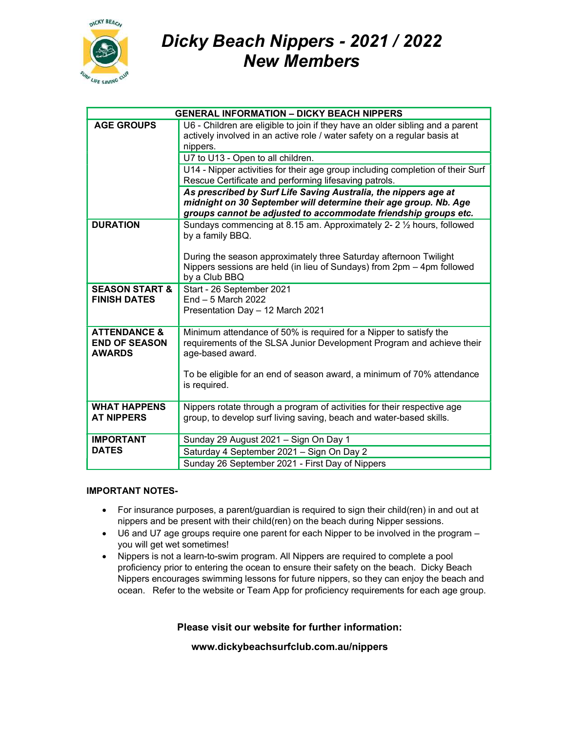

## Dicky Beach Nippers - 2021 / 2022 New Members

| <b>GENERAL INFORMATION - DICKY BEACH NIPPERS</b>                 |                                                                                                                                                                                                        |
|------------------------------------------------------------------|--------------------------------------------------------------------------------------------------------------------------------------------------------------------------------------------------------|
| <b>AGE GROUPS</b>                                                | U6 - Children are eligible to join if they have an older sibling and a parent<br>actively involved in an active role / water safety on a regular basis at<br>nippers.                                  |
|                                                                  | U7 to U13 - Open to all children.                                                                                                                                                                      |
|                                                                  | U14 - Nipper activities for their age group including completion of their Surf<br>Rescue Certificate and performing lifesaving patrols.                                                                |
|                                                                  | As prescribed by Surf Life Saving Australia, the nippers age at<br>midnight on 30 September will determine their age group. Nb. Age<br>groups cannot be adjusted to accommodate friendship groups etc. |
| <b>DURATION</b>                                                  | Sundays commencing at 8.15 am. Approximately 2-2 1/2 hours, followed<br>by a family BBQ.                                                                                                               |
|                                                                  | During the season approximately three Saturday afternoon Twilight<br>Nippers sessions are held (in lieu of Sundays) from 2pm - 4pm followed<br>by a Club BBQ                                           |
| <b>SEASON START &amp;</b><br><b>FINISH DATES</b>                 | Start - 26 September 2021<br>$End - 5$ March 2022<br>Presentation Day - 12 March 2021                                                                                                                  |
| <b>ATTENDANCE &amp;</b><br><b>END OF SEASON</b><br><b>AWARDS</b> | Minimum attendance of 50% is required for a Nipper to satisfy the<br>requirements of the SLSA Junior Development Program and achieve their<br>age-based award.                                         |
|                                                                  | To be eligible for an end of season award, a minimum of 70% attendance<br>is required.                                                                                                                 |
| <b>WHAT HAPPENS</b><br><b>AT NIPPERS</b>                         | Nippers rotate through a program of activities for their respective age<br>group, to develop surf living saving, beach and water-based skills.                                                         |
| <b>IMPORTANT</b>                                                 | Sunday 29 August 2021 - Sign On Day 1                                                                                                                                                                  |
| <b>DATES</b>                                                     | Saturday 4 September 2021 - Sign On Day 2                                                                                                                                                              |
|                                                                  | Sunday 26 September 2021 - First Day of Nippers                                                                                                                                                        |

## IMPORTANT NOTES-

- For insurance purposes, a parent/guardian is required to sign their child(ren) in and out at nippers and be present with their child(ren) on the beach during Nipper sessions.
- U6 and U7 age groups require one parent for each Nipper to be involved in the program you will get wet sometimes!
- Nippers is not a learn-to-swim program. All Nippers are required to complete a pool proficiency prior to entering the ocean to ensure their safety on the beach. Dicky Beach Nippers encourages swimming lessons for future nippers, so they can enjoy the beach and ocean. Refer to the website or Team App for proficiency requirements for each age group.

Please visit our website for further information:

www.dickybeachsurfclub.com.au/nippers